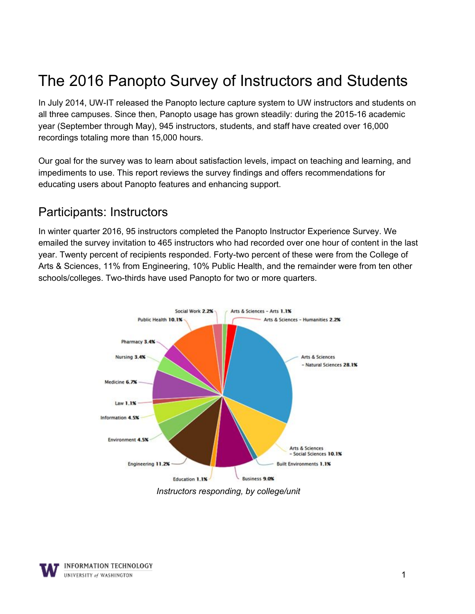# The 2016 Panopto Survey of Instructors and Students

In July 2014, UW-IT released the Panopto lecture capture system to UW instructors and students on all three campuses. Since then, Panopto usage has grown steadily: during the 2015-16 academic year (September through May), 945 instructors, students, and staff have created over 16,000 recordings totaling more than 15,000 hours.

 Our goal for the survey was to learn about satisfaction levels, impact on teaching and learning, and educating users about Panopto features and enhancing support. impediments to use. This report reviews the survey findings and offers recommendations for

### Participants: Instructors

 In winter quarter 2016, 95 instructors completed the Panopto Instructor Experience Survey. We emailed the survey invitation to 465 instructors who had recorded over one hour of content in the last year. Twenty percent of recipients responded. Forty-two percent of these were from the College of Arts & Sciences, 11% from Engineering, 10% Public Health, and the remainder were from ten other schools/colleges. Two-thirds have used Panopto for two or more quarters.



*Instructors responding, by college/unit*

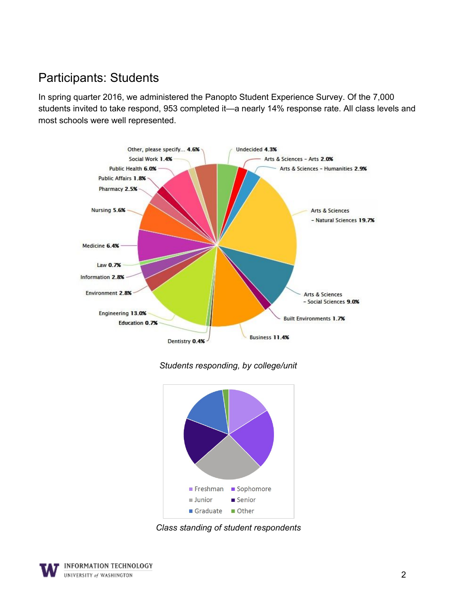## Participants: Students

 In spring quarter 2016, we administered the Panopto Student Experience Survey. Of the 7,000 students invited to take respond, 953 completed it—a nearly 14% response rate. All class levels and most schools were well represented.



*Students responding, by college/unit*



*Class standing of student respondents*

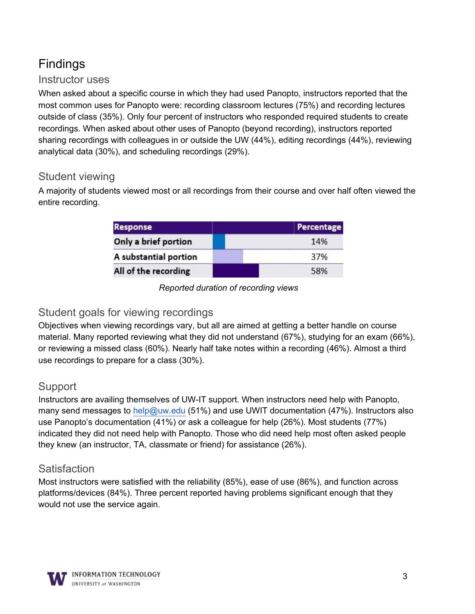# Findings

#### Instructor uses

 When asked about a specific course in which they had used Panopto, instructors reported that the most common uses for Panopto were: recording classroom lectures (75%) and recording lectures outside of class (35%). Only four percent of instructors who responded required students to create recordings. When asked about other uses of Panopto (beyond recording), instructors reported sharing recordings with colleagues in or outside the UW (44%), editing recordings (44%), reviewing analytical data (30%), and scheduling recordings (29%).

#### Student viewing

 A majority of students viewed most or all recordings from their course and over half often viewed the entire recording.

| <b>Response</b>       | Percentage |
|-----------------------|------------|
| Only a brief portion  | 14%        |
| A substantial portion | 37%        |
| All of the recording  | 58%        |

#### *Reported duration of recording views*

#### Student goals for viewing recordings

 Objectives when viewing recordings vary, but all are aimed at getting a better handle on course material. Many reported reviewing what they did not understand (67%), studying for an exam (66%), or reviewing a missed class (60%). Nearly half take notes within a recording (46%). Almost a third use recordings to prepare for a class (30%).

#### **Support**

Instructors are availing themselves of UW-IT support. When instructors need help with Panopto, many send messages to [help@uw.edu](mailto: help@uw.edu) (51%) and use UWIT documentation (47%). Instructors also use Panopto's documentation (41%) or ask a colleague for help (26%). Most students (77%) indicated they did not need help with Panopto. Those who did need help most often asked people they knew (an instructor, TA, classmate or friend) for assistance (26%).

#### **Satisfaction**

 platforms/devices (84%). Three percent reported having problems significant enough that they Most instructors were satisfied with the reliability (85%), ease of use (86%), and function across would not use the service again.

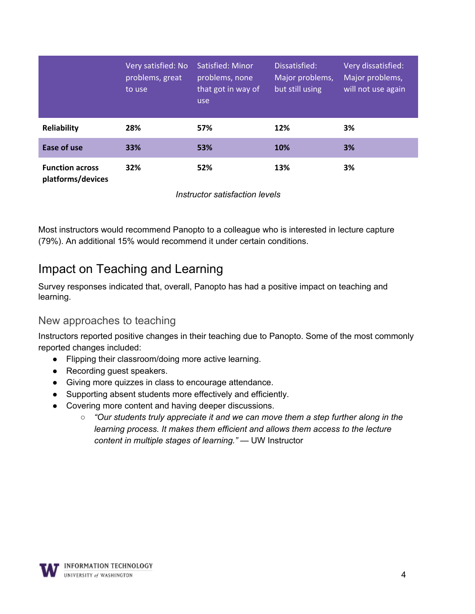|                                             | Very satisfied: No<br>problems, great<br>to use | Satisfied: Minor<br>problems, none<br>that got in way of<br>use | Dissatisfied:<br>Major problems,<br>but still using | Very dissatisfied:<br>Major problems,<br>will not use again |
|---------------------------------------------|-------------------------------------------------|-----------------------------------------------------------------|-----------------------------------------------------|-------------------------------------------------------------|
| Reliability                                 | 28%                                             | 57%                                                             | 12%                                                 | 3%                                                          |
| Ease of use                                 | 33%                                             | 53%                                                             | 10%                                                 | 3%                                                          |
| <b>Function across</b><br>platforms/devices | 32%                                             | 52%                                                             | 13%                                                 | 3%                                                          |

*Instructor satisfaction levels* 

Most instructors would recommend Panopto to a colleague who is interested in lecture capture (79%). An additional 15% would recommend it under certain conditions.

## Impact on Teaching and Learning

Survey responses indicated that, overall, Panopto has had a positive impact on teaching and learning.

#### New approaches to teaching

Instructors reported positive changes in their teaching due to Panopto. Some of the most commonly reported changes included:

- Flipping their classroom/doing more active learning.
- Recording guest speakers.
- Giving more quizzes in class to encourage attendance.
- Supporting absent students more effectively and efficiently.
- Covering more content and having deeper discussions.
	- *○ "Our students truly appreciate it and we can move them a step further along in the learning process. It makes them efficient and allows them access to the lecture content in multiple stages of learning."* — UW Instructor

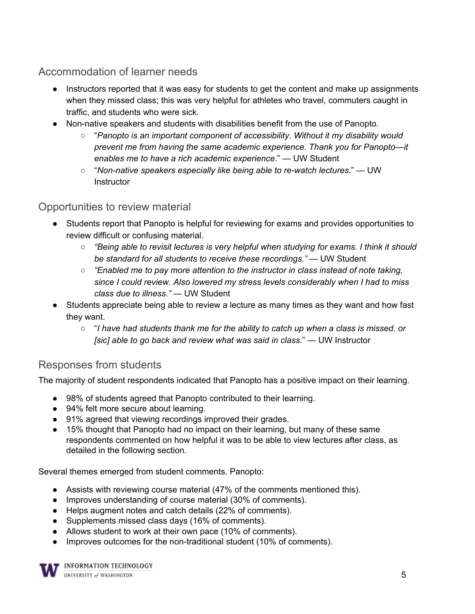Accommodation of learner needs

- Instructors reported that it was easy for students to get the content and make up assignments when they missed class; this was very helpful for athletes who travel, commuters caught in traffic, and students who were sick.
- Non-native speakers and students with disabilities benefit from the use of Panopto.
	- "*Panopto is an important component of accessibility. Without it my disability would prevent me from having the same academic experience. Thank you for Panopto—it enables me to have a rich academic experience*." — UW Student
	- $\circ$  "Non-native speakers especially like being able to re-watch lectures." UW **Instructor**

#### Opportunities to review material

- Students report that Panopto is helpful for reviewing for exams and provides opportunities to review difficult or confusing material.
	- *"Being able to revisit lectures is very helpful when studying for exams. I think it should be standard for all students to receive these recordings."* — UW Student
	- *"Enabled me to pay more attention to the instructor in class instead of note taking, since I could review. Also lowered my stress levels considerably when I had to miss class due to illness."* — UW Student
- Students appreciate being able to review a lecture as many times as they want and how fast they want.
	- "*I have had students thank me for the ability to catch up when a class is missed, or [sic] able to go back and review what was said in class.*" — UW Instructor

### Responses from students

The majority of student respondents indicated that Panopto has a positive impact on their learning.

- 98% of students agreed that Panopto contributed to their learning.
- 94% felt more secure about learning.
- 91% agreed that viewing recordings improved their grades.
- 15% thought that Panopto had no impact on their learning, but many of these same respondents commented on how helpful it was to be able to view lectures after class, as detailed in the following section.

Several themes emerged from student comments. Panopto:

- Assists with reviewing course material (47% of the comments mentioned this).
- Improves understanding of course material (30% of comments).
- Helps augment notes and catch details (22% of comments).
- Supplements missed class days (16% of comments).
- Allows student to work at their own pace (10% of comments).
- Improves outcomes for the non-traditional student (10% of comments).

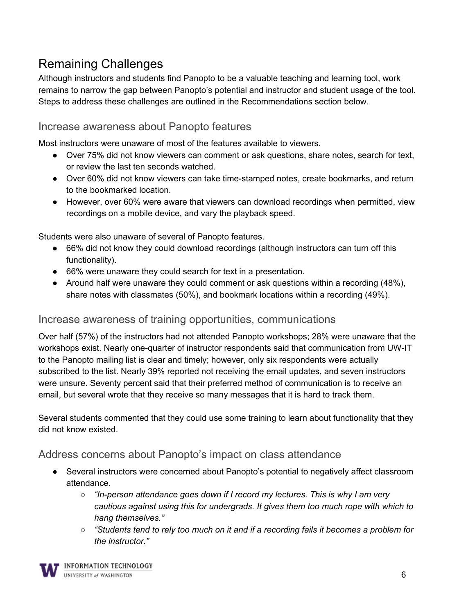## Remaining Challenges

Although instructors and students find Panopto to be a valuable teaching and learning tool, work remains to narrow the gap between Panopto's potential and instructor and student usage of the tool. Steps to address these challenges are outlined in the Recommendations section below.

#### Increase awareness about Panopto features

Most instructors were unaware of most of the features available to viewers.

- Over 75% did not know viewers can comment or ask questions, share notes, search for text, or review the last ten seconds watched.
- Over 60% did not know viewers can take time-stamped notes, create bookmarks, and return to the bookmarked location.
- However, over 60% were aware that viewers can download recordings when permitted, view recordings on a mobile device, and vary the playback speed.

Students were also unaware of several of Panopto features.

- 66% did not know they could download recordings (although instructors can turn off this functionality).
- 66% were unaware they could search for text in a presentation.
- Around half were unaware they could comment or ask questions within a recording (48%), share notes with classmates (50%), and bookmark locations within a recording (49%).

#### Increase awareness of training opportunities, communications

Over half (57%) of the instructors had not attended Panopto workshops; 28% were unaware that the workshops exist. Nearly one-quarter of instructor respondents said that communication from UW-IT to the Panopto mailing list is clear and timely; however, only six respondents were actually subscribed to the list. Nearly 39% reported not receiving the email updates, and seven instructors were unsure. Seventy percent said that their preferred method of communication is to receive an email, but several wrote that they receive so many messages that it is hard to track them.

Several students commented that they could use some training to learn about functionality that they did not know existed.

### Address concerns about Panopto's impact on class attendance

- Several instructors were concerned about Panopto's potential to negatively affect classroom attendance.
	- *"In-person attendance goes down if I record my lectures. This is why I am very cautious against using this for undergrads. It gives them too much rope with which to hang themselves."*
	- *○ "Students tend to rely too much on it and if a recording fails it becomes a problem for the instructor."*

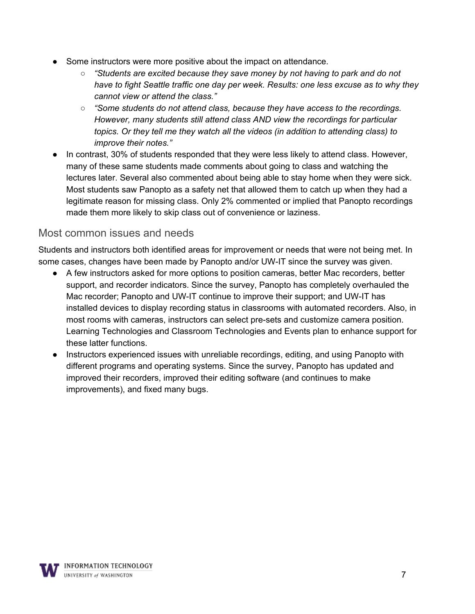- Some instructors were more positive about the impact on attendance.
	- *○ "Students are excited because they save money by not having to park and do not have to fight Seattle traffic one day per week. Results: one less excuse as to why they cannot view or attend the class."*
	- *○ "Some students do not attend class, because they have access to the recordings. However, many students still attend class AND view the recordings for particular topics. Or they tell me they watch all the videos (in addition to attending class) to improve their notes."*
- In contrast, 30% of students responded that they were less likely to attend class. However, many of these same students made comments about going to class and watching the lectures later. Several also commented about being able to stay home when they were sick. Most students saw Panopto as a safety net that allowed them to catch up when they had a legitimate reason for missing class. Only 2% commented or implied that Panopto recordings made them more likely to skip class out of convenience or laziness.

#### Most common issues and needs

Students and instructors both identified areas for improvement or needs that were not being met. In some cases, changes have been made by Panopto and/or UW-IT since the survey was given.

- A few instructors asked for more options to position cameras, better Mac recorders, better support, and recorder indicators. Since the survey, Panopto has completely overhauled the Mac recorder; Panopto and UW-IT continue to improve their support; and UW-IT has installed devices to display recording status in classrooms with automated recorders. Also, in most rooms with cameras, instructors can select pre-sets and customize camera position. Learning Technologies and Classroom Technologies and Events plan to enhance support for these latter functions.
- Instructors experienced issues with unreliable recordings, editing, and using Panopto with different programs and operating systems. Since the survey, Panopto has updated and improved their recorders, improved their editing software (and continues to make improvements), and fixed many bugs.

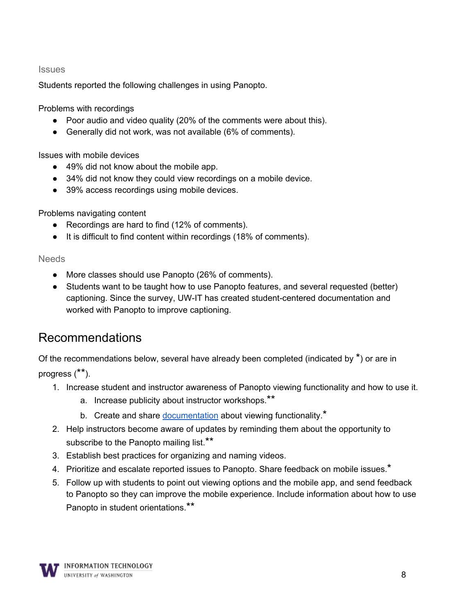#### **Issues**

Students reported the following challenges in using Panopto.

Problems with recordings

- Poor audio and video quality (20% of the comments were about this).
- Generally did not work, was not available (6% of comments).

Issues with mobile devices

- 49% did not know about the mobile app.
- 34% did not know they could view recordings on a mobile device.
- 39% access recordings using mobile devices.

Problems navigating content

- Recordings are hard to find (12% of comments).
- It is difficult to find content within recordings (18% of comments).

Needs

- More classes should use Panopto (26% of comments).
- Students want to be taught how to use Panopto features, and several requested (better) captioning. Since the survey, UW-IT has created student-centered documentation and worked with Panopto to improve captioning.

## Recommendations

Of the recommendations below, several have already been completed (indicated by \*) or are in progress (\*\*).

1. Increase student and instructor awareness of Panopto viewing functionality and how to use it.

- a. Increase publicity about instructor workshops.\*\*
- b. Create and share [documentation](https://itconnect.uw.edu/learn/tools/panopto/viewing-panopto-recordings/) about viewing functionality.<sup>\*</sup>
- 2. Help instructors become aware of updates by reminding them about the opportunity to subscribe to the Panopto mailing list.\*\*
- 3. Establish best practices for organizing and naming videos.
- 4. Prioritize and escalate reported issues to Panopto. Share feedback on mobile issues.\*
- 5. Follow up with students to point out viewing options and the mobile app, and send feedback to Panopto so they can improve the mobile experience. Include information about how to use Panopto in student orientations.\*\*